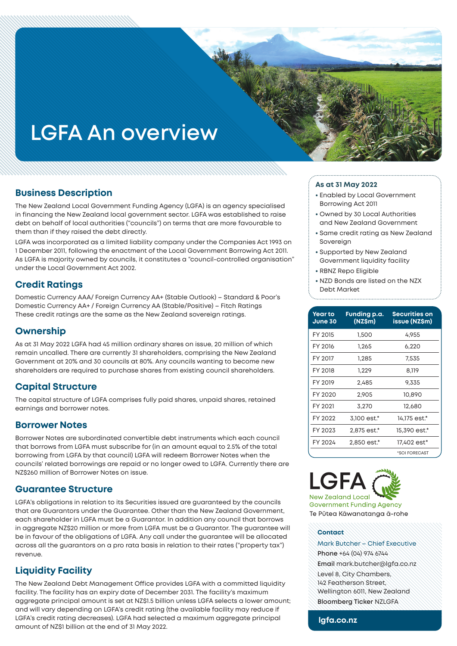# **LGFA An overview**

## **Business Description**

The New Zealand Local Government Funding Agency (LGFA) is an agency specialised in financing the New Zealand local government sector. LGFA was established to raise debt on behalf of local authorities ("councils") on terms that are more favourable to them than if they raised the debt directly.

LGFA was incorporated as a limited liability company under the Companies Act 1993 on 1 December 2011, following the enactment of the Local Government Borrowing Act 2011. As LGFA is majority owned by councils, it constitutes a "council-controlled organisation" under the Local Government Act 2002.

# **Credit Ratings**

Domestic Currency AAA/ Foreign Currency AA+ (Stable Outlook) – Standard & Poor's Domestic Currency AA+ / Foreign Currency AA (Stable/Positive) – Fitch Ratings These credit ratings are the same as the New Zealand sovereign ratings.

## **Ownership**

As at 31 May 2022 LGFA had 45 million ordinary shares on issue, 20 million of which remain uncalled. There are currently 31 shareholders, comprising the New Zealand Government at 20% and 30 councils at 80%. Any councils wanting to become new shareholders are required to purchase shares from existing council shareholders.

# **Capital Structure**

The capital structure of LGFA comprises fully paid shares, unpaid shares, retained earnings and borrower notes.

#### **Borrower Notes**

Borrower Notes are subordinated convertible debt instruments which each council that borrows from LGFA must subscribe for (in an amount equal to 2.5% of the total borrowing from LGFA by that council) LGFA will redeem Borrower Notes when the councils' related borrowings are repaid or no longer owed to LGFA. Currently there are NZ\$260 million of Borrower Notes on issue.

## **Guarantee Structure**

LGFA's obligations in relation to its Securities issued are guaranteed by the councils that are Guarantors under the Guarantee. Other than the New Zealand Government, each shareholder in LGFA must be a Guarantor. In addition any council that borrows in aggregate NZ\$20 million or more from LGFA must be a Guarantor. The guarantee will be in favour of the obligations of LGFA. Any call under the guarantee will be allocated across all the guarantors on a pro rata basis in relation to their rates ("property tax") revenue.

# **Liquidity Facility**

The New Zealand Debt Management Office provides LGFA with a committed liquidity facility. The facility has an expiry date of December 2031. The facility's maximum aggregate principal amount is set at NZ\$1.5 billion unless LGFA selects a lower amount; and will vary depending on LGFA's credit rating (the available facility may reduce if LGFA's credit rating decreases). LGFA had selected a maximum aggregate principal amount of NZ\$1 billion at the end of 31 May 2022.

#### **As at 31 May 2022**

- Enabled by Local Government Borrowing Act 2011
- Owned by 30 Local Authorities and New Zealand Government
- Same credit rating as New Zealand Sovereign
- Supported by New Zealand Government liquidity facility
- RBNZ Repo Eligible
- NZD Bonds are listed on the NZX Debt Market

| <b>Year to</b><br>June 30 | Funding p.a.<br>(NZ\$m) | Securities on<br><b>issue (NZ\$m)</b> |
|---------------------------|-------------------------|---------------------------------------|
| FY 2015                   | 1.500                   | 4.955                                 |
| FY 2016                   | 1,265                   | 6,220                                 |
| FY 2017                   | 1.285                   | 7.535                                 |
| FY 2018                   | 1.229                   | 8.119                                 |
| FY 2019                   | 2.485                   | 9,335                                 |
| FY 2020                   | 2.905                   | 10,890                                |
| FY 2021                   | 3,270                   | 12,680                                |
| FY 2022                   | 3,100 est.*             | 14,175 est.*                          |
| FY 2023                   | 2,875 est.*             | 15,390 est.*                          |
| FY 2024                   | 2,850 est.*             | 17,402 est*                           |
|                           |                         | *SOI FORECAST                         |



**Government Funding Agency** Te Pūtea Kāwanatanga ā-rohe

#### **Contact**

Mark Butcher – Chief Executive **Phone** +64 (04) 974 6744 **Email** mark.butcher@lgfa.co.nz Level 8, City Chambers, 142 Featherson Street, Wellington 6011, New Zealand **Bloomberg Ticker** NZLGFA

#### **lgfa.co.nz**